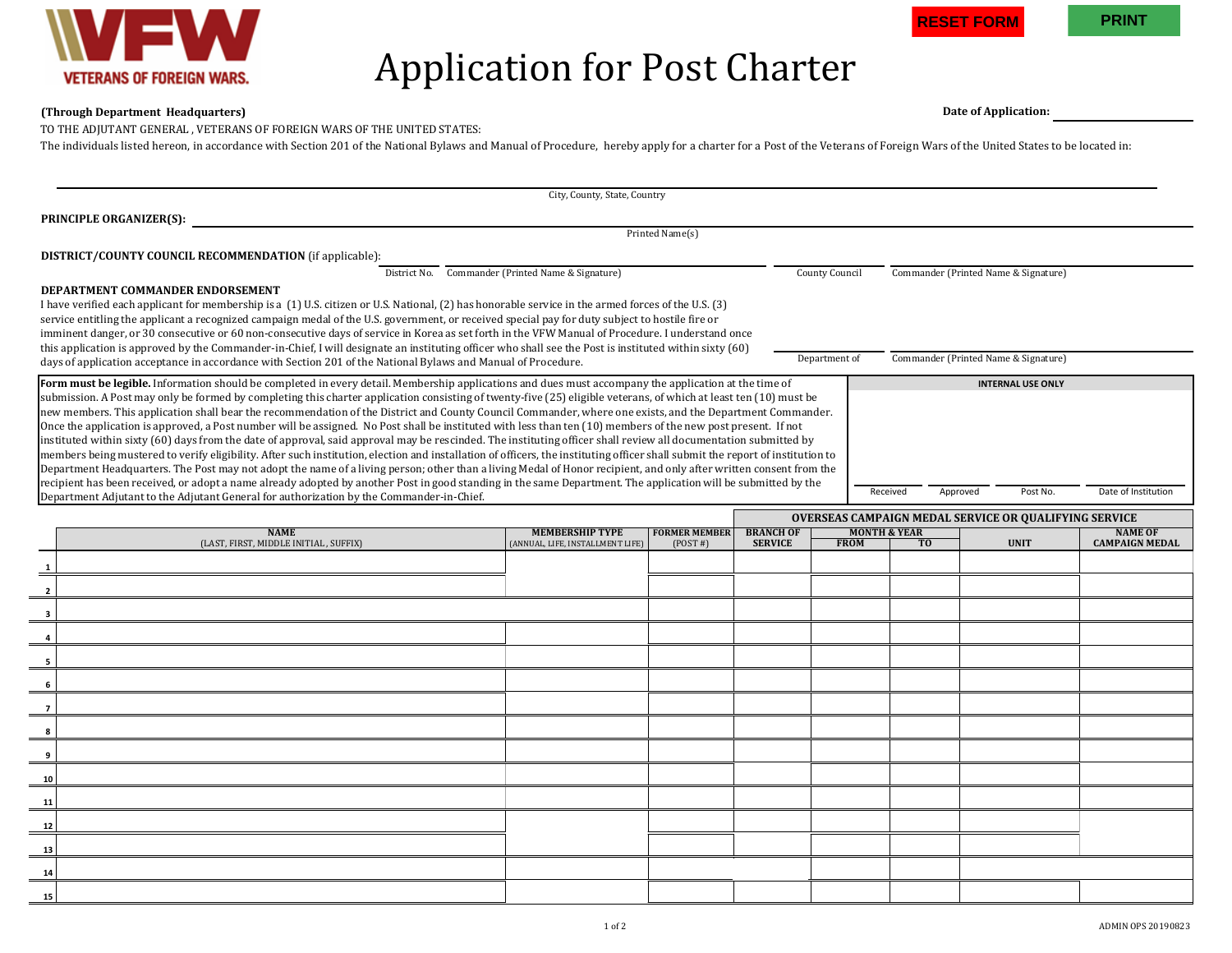

## Application for Post Charter

## **(Through Department Headquarters) Date of Application:**

TO THE ADJUTANT GENERAL , VETERANS OF FOREIGN WARS OF THE UNITED STATES:

The individuals listed hereon, in accordance with Section 201 of the National Bylaws and Manual of Procedure, hereby apply for a charter for a Post of the Veterans of Foreign Wars of the United States to be located in:

| City, County, State, Country                                                                                                                                                                                                                                                                                                                           |                                                            |                                 |                                    |                                        |                                                       |                      |                                         |  |  |  |  |
|--------------------------------------------------------------------------------------------------------------------------------------------------------------------------------------------------------------------------------------------------------------------------------------------------------------------------------------------------------|------------------------------------------------------------|---------------------------------|------------------------------------|----------------------------------------|-------------------------------------------------------|----------------------|-----------------------------------------|--|--|--|--|
| <b>PRINCIPLE ORGANIZER(S):</b>                                                                                                                                                                                                                                                                                                                         |                                                            |                                 |                                    |                                        |                                                       |                      |                                         |  |  |  |  |
| Printed Name(s)                                                                                                                                                                                                                                                                                                                                        |                                                            |                                 |                                    |                                        |                                                       |                      |                                         |  |  |  |  |
| <b>DISTRICT/COUNTY COUNCIL RECOMMENDATION</b> (if applicable):                                                                                                                                                                                                                                                                                         |                                                            |                                 |                                    |                                        |                                                       |                      |                                         |  |  |  |  |
| District No. Commander (Printed Name & Signature)                                                                                                                                                                                                                                                                                                      | County Council<br>Commander (Printed Name & Signature)     |                                 |                                    |                                        |                                                       |                      |                                         |  |  |  |  |
| DEPARTMENT COMMANDER ENDORSEMENT                                                                                                                                                                                                                                                                                                                       |                                                            |                                 |                                    |                                        |                                                       |                      |                                         |  |  |  |  |
| I have verified each applicant for membership is a (1) U.S. citizen or U.S. National, (2) has honorable service in the armed forces of the U.S. (3)<br>service entitling the applicant a recognized campaign medal of the U.S. government, or received special pay for duty subject to hostile fire or                                                 |                                                            |                                 |                                    |                                        |                                                       |                      |                                         |  |  |  |  |
| imminent danger, or 30 consecutive or 60 non-consecutive days of service in Korea as set forth in the VFW Manual of Procedure. I understand once                                                                                                                                                                                                       |                                                            |                                 |                                    |                                        |                                                       |                      |                                         |  |  |  |  |
| this application is approved by the Commander-in-Chief, I will designate an instituting officer who shall see the Post is instituted within sixty (60)<br>days of application acceptance in accordance with Section 201 of the National Bylaws and Manual of Procedure.                                                                                |                                                            |                                 |                                    |                                        | Commander (Printed Name & Signature)<br>Department of |                      |                                         |  |  |  |  |
|                                                                                                                                                                                                                                                                                                                                                        |                                                            |                                 |                                    |                                        |                                                       |                      |                                         |  |  |  |  |
| Form must be legible. Information should be completed in every detail. Membership applications and dues must accompany the application at the time of<br><b>INTERNAL USE ONLY</b><br>submission. A Post may only be formed by completing this charter application consisting of twenty-five (25) eligible veterans, of which at least ten (10) must be |                                                            |                                 |                                    |                                        |                                                       |                      |                                         |  |  |  |  |
| new members. This application shall bear the recommendation of the District and County Council Commander, where one exists, and the Department Commander.                                                                                                                                                                                              |                                                            |                                 |                                    |                                        |                                                       |                      |                                         |  |  |  |  |
| Once the application is approved, a Post number will be assigned. No Post shall be instituted with less than ten (10) members of the new post present. If not<br>instituted within sixty (60) days from the date of approval, said approval may be rescinded. The instituting officer shall review all documentation submitted by                      |                                                            |                                 |                                    |                                        |                                                       |                      |                                         |  |  |  |  |
| members being mustered to verify eligibility. After such institution, election and installation of officers, the instituting officer shall submit the report of institution to                                                                                                                                                                         |                                                            |                                 |                                    |                                        |                                                       |                      |                                         |  |  |  |  |
| Department Headquarters. The Post may not adopt the name of a living person; other than a living Medal of Honor recipient, and only after written consent from the                                                                                                                                                                                     |                                                            |                                 |                                    |                                        |                                                       |                      |                                         |  |  |  |  |
| recipient has been received, or adopt a name already adopted by another Post in good standing in the same Department. The application will be submitted by the<br>Department Adjutant to the Adjutant General for authorization by the Commander-in-Chief.                                                                                             |                                                            |                                 |                                    | Received                               |                                                       | Post No.<br>Approved | Date of Institution                     |  |  |  |  |
| <b>OVERSEAS CAMPAIGN MEDAL SERVICE OR QUALIFYING SERVICE</b>                                                                                                                                                                                                                                                                                           |                                                            |                                 |                                    |                                        |                                                       |                      |                                         |  |  |  |  |
| <b>NAME</b><br>(LAST, FIRST, MIDDLE INITIAL, SUFFIX)                                                                                                                                                                                                                                                                                                   | <b>MEMBERSHIP TYPE</b><br>(ANNUAL, LIFE, INSTALLMENT LIFE) | <b>FORMER MEMBER</b><br>(POST#) | <b>BRANCH OF</b><br><b>SERVICE</b> | <b>MONTH &amp; YEAR</b><br><b>FROM</b> | T <sub>0</sub>                                        | <b>UNIT</b>          | <b>NAME OF</b><br><b>CAMPAIGN MEDAL</b> |  |  |  |  |
|                                                                                                                                                                                                                                                                                                                                                        |                                                            |                                 |                                    |                                        |                                                       |                      |                                         |  |  |  |  |
| $\overline{\mathbf{2}}$                                                                                                                                                                                                                                                                                                                                |                                                            |                                 |                                    |                                        |                                                       |                      |                                         |  |  |  |  |
|                                                                                                                                                                                                                                                                                                                                                        |                                                            |                                 |                                    |                                        |                                                       |                      |                                         |  |  |  |  |
| 3<br>4                                                                                                                                                                                                                                                                                                                                                 |                                                            |                                 |                                    |                                        |                                                       |                      |                                         |  |  |  |  |
| 5                                                                                                                                                                                                                                                                                                                                                      |                                                            |                                 |                                    |                                        |                                                       |                      |                                         |  |  |  |  |
| 6                                                                                                                                                                                                                                                                                                                                                      |                                                            |                                 |                                    |                                        |                                                       |                      |                                         |  |  |  |  |
| $\overline{7}$                                                                                                                                                                                                                                                                                                                                         |                                                            |                                 |                                    |                                        |                                                       |                      |                                         |  |  |  |  |
| 8                                                                                                                                                                                                                                                                                                                                                      |                                                            |                                 |                                    |                                        |                                                       |                      |                                         |  |  |  |  |
| 9                                                                                                                                                                                                                                                                                                                                                      |                                                            |                                 |                                    |                                        |                                                       |                      |                                         |  |  |  |  |
| 10                                                                                                                                                                                                                                                                                                                                                     |                                                            |                                 |                                    |                                        |                                                       |                      |                                         |  |  |  |  |
| 11                                                                                                                                                                                                                                                                                                                                                     |                                                            |                                 |                                    |                                        |                                                       |                      |                                         |  |  |  |  |
| 12                                                                                                                                                                                                                                                                                                                                                     |                                                            |                                 |                                    |                                        |                                                       |                      |                                         |  |  |  |  |
| 13                                                                                                                                                                                                                                                                                                                                                     |                                                            |                                 |                                    |                                        |                                                       |                      |                                         |  |  |  |  |
| 14                                                                                                                                                                                                                                                                                                                                                     |                                                            |                                 |                                    |                                        |                                                       |                      |                                         |  |  |  |  |
| 15                                                                                                                                                                                                                                                                                                                                                     |                                                            |                                 |                                    |                                        |                                                       |                      |                                         |  |  |  |  |